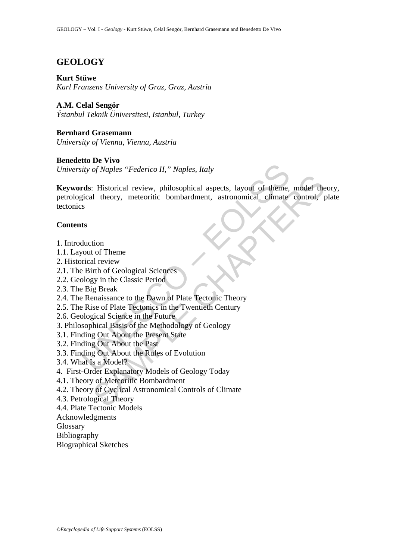# **GEOLOGY**

#### **Kurt Stüwe**

*Karl Franzens University of Graz, Graz, Austria* 

#### **A.M. Celal Sengör**

*Ýstanbul Teknik Üniversitesi, Istanbul, Turkey* 

## **Bernhard Grasemann**

*University of Vienna, Vienna, Austria* 

### **Benedetto De Vivo**

*University of Naples "Federico II," Naples, Italy* 

ity of Naples "Federico II," Naples, Italy<br>
rds: Historical review, philosophical aspects, layout of theme,<br>
gical theory, meteoritic bombardment, astronomical climate<br>
s<br>
ts<br>
ts<br>
ts<br>
ts<br>
ts<br>
ts<br>
ts<br>
ts<br>
exercitic bombardm Expectively, philosophical aspects, layout of theme, model the<br>
Il theory, meteoritic bombardment, astronomical climate control, p<br>
tion to former and review<br>
time of Geological Sciences<br>
Experimentation<br>
in the Classic Pe **Keywords**: Historical review, philosophical aspects, layout of theme, model theory, petrological theory, meteoritic bombardment, astronomical climate control, plate tectonics

### **Contents**

- 1. Introduction
- 1.1. Layout of Theme
- 2. Historical review
- 2.1. The Birth of Geological Sciences
- 2.2. Geology in the Classic Period
- 2.3. The Big Break
- 2.4. The Renaissance to the Dawn of Plate Tectonic Theory
- 2.5. The Rise of Plate Tectonics in the Twentieth Century
- 2.6. Geological Science in the Future
- 3. Philosophical Basis of the Methodology of Geology
- 3.1. Finding Out About the Present State
- 3.2. Finding Out About the Past
- 3.3. Finding Out About the Rules of Evolution
- 3.4. What Is a Model?
- 4. First-Order Explanatory Models of Geology Today
- 4.1. Theory of Meteoritic Bombardment
- 4.2. Theory of Cyclical Astronomical Controls of Climate
- 4.3. Petrological Theory
- 4.4. Plate Tectonic Models
- Acknowledgments

Glossary

- Bibliography
- Biographical Sketches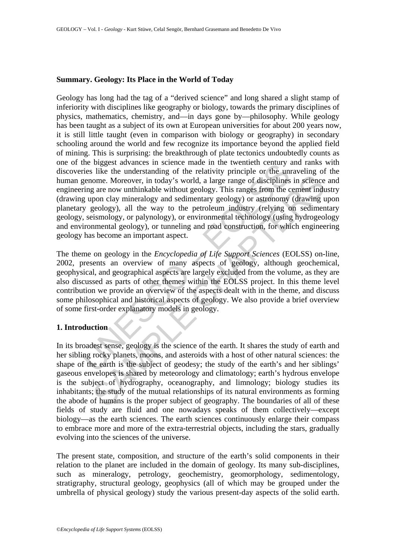### **Summary. Geology: Its Place in the World of Today**

the original content and the methematic methanology and actional technical states in science mate the understanding of the relativity principle or the uniform expression expression expression and the sequence. Moreover, in From the amoremular of the victom-try pumper or, and variables<br>once. Moreover, in today's world, a large range of disciplines in science<br>gare now unthinkable without geology. This ranges from the cement indu<br>poology), all Geology has long had the tag of a "derived science" and long shared a slight stamp of inferiority with disciplines like geography or biology, towards the primary disciplines of physics, mathematics, chemistry, and—in days gone by—philosophy. While geology has been taught as a subject of its own at European universities for about 200 years now, it is still little taught (even in comparison with biology or geography) in secondary schooling around the world and few recognize its importance beyond the applied field of mining. This is surprising: the breakthrough of plate tectonics undoubtedly counts as one of the biggest advances in science made in the twentieth century and ranks with discoveries like the understanding of the relativity principle or the unraveling of the human genome. Moreover, in today's world, a large range of disciplines in science and engineering are now unthinkable without geology. This ranges from the cement industry (drawing upon clay mineralogy and sedimentary geology) or astronomy (drawing upon planetary geology), all the way to the petroleum industry (relying on sedimentary geology, seismology, or palynology), or environmental technology (using hydrogeology and environmental geology), or tunneling and road construction, for which engineering geology has become an important aspect.

The theme on geology in the *Encyclopedia of Life Support Sciences* (EOLSS) on-line, 2002, presents an overview of many aspects of geology, although geochemical, geophysical, and geographical aspects are largely excluded from the volume, as they are also discussed as parts of other themes within the EOLSS project. In this theme level contribution we provide an overview of the aspects dealt with in the theme, and discuss some philosophical and historical aspects of geology. We also provide a brief overview of some first-order explanatory models in geology.

## **1. Introduction**

In its broadest sense, geology is the science of the earth. It shares the study of earth and her sibling rocky planets, moons, and asteroids with a host of other natural sciences: the shape of the earth is the subject of geodesy; the study of the earth's and her siblings' gaseous envelopes is shared by meteorology and climatology; earth's hydrous envelope is the subject of hydrography, oceanography, and limnology; biology studies its inhabitants; the study of the mutual relationships of its natural environments as forming the abode of humans is the proper subject of geography. The boundaries of all of these fields of study are fluid and one nowadays speaks of them collectively—except biology—as the earth sciences. The earth sciences continuously enlarge their compass to embrace more and more of the extra-terrestrial objects, including the stars, gradually evolving into the sciences of the universe.

The present state, composition, and structure of the earth's solid components in their relation to the planet are included in the domain of geology. Its many sub-disciplines, such as mineralogy, petrology, geochemistry, geomorphology, sedimentology, stratigraphy, structural geology, geophysics (all of which may be grouped under the umbrella of physical geology) study the various present-day aspects of the solid earth.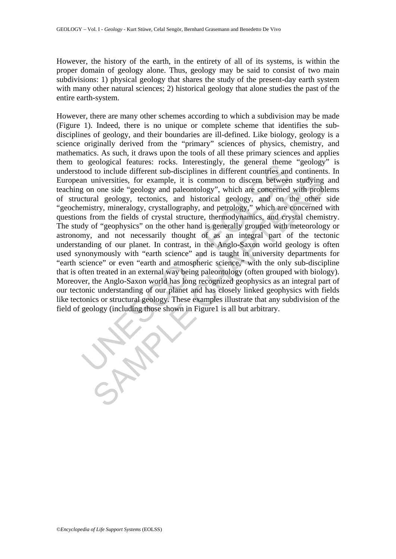However, the history of the earth, in the entirety of all of its systems, is within the proper domain of geology alone. Thus, geology may be said to consist of two main subdivisions: 1) physical geology that shares the study of the present-day earth system with many other natural sciences; 2) historical geology that alone studies the past of the entire earth-system.

is expected readures. Focks. Interestingly, the general units<br>od to include different sub-disciplines in different countries and<br>an universities, for example, it is common to discern betweer<br>g on one side "geology and pale universities, for example, it is common to discern between studying<br>none side "geology and paleontology", which are concerned with probl<br>ral geology, tectonics, and historical geology, and on the other<br>stry, mineralogy, cr However, there are many other schemes according to which a subdivision may be made (Figure 1). Indeed, there is no unique or complete scheme that identifies the subdisciplines of geology, and their boundaries are ill-defined. Like biology, geology is a science originally derived from the "primary" sciences of physics, chemistry, and mathematics. As such, it draws upon the tools of all these primary sciences and applies them to geological features: rocks. Interestingly, the general theme "geology" is understood to include different sub-disciplines in different countries and continents. In European universities, for example, it is common to discern between studying and teaching on one side "geology and paleontology", which are concerned with problems of structural geology, tectonics, and historical geology, and on the other side "geochemistry, mineralogy, crystallography, and petrology," which are concerned with questions from the fields of crystal structure, thermodynamics, and crystal chemistry. The study of "geophysics" on the other hand is generally grouped with meteorology or astronomy, and not necessarily thought of as an integral part of the tectonic understanding of our planet. In contrast, in the Anglo-Saxon world geology is often used synonymously with "earth science" and is taught in university departments for "earth science" or even "earth and atmospheric science," with the only sub-discipline that is often treated in an external way being paleontology (often grouped with biology). Moreover, the Anglo-Saxon world has long recognized geophysics as an integral part of our tectonic understanding of our planet and has closely linked geophysics with fields like tectonics or structural geology. These examples illustrate that any subdivision of the field of geology (including those shown in Figure1 is all but arbitrary.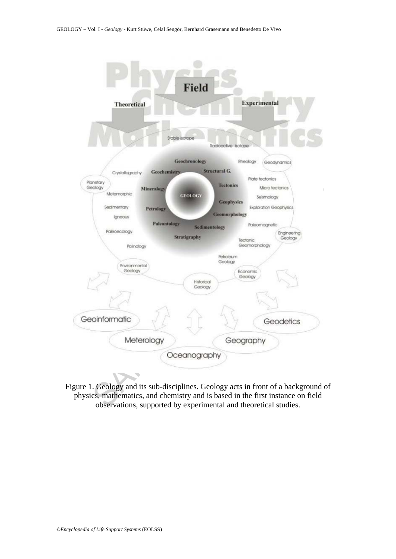

Figure 1. Geology and its sub-disciplines. Geology acts in front of a background of physics, mathematics, and chemistry and is based in the first instance on field observations, supported by experimental and theoretical studies.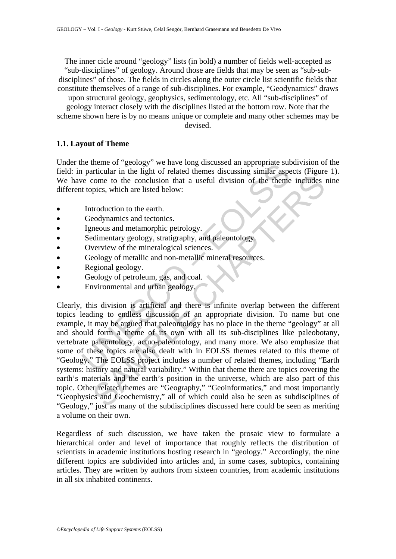The inner cicle around "geology" lists (in bold) a number of fields well-accepted as "sub-disciplines" of geology. Around those are fields that may be seen as "sub-subdisciplines" of those. The fields in circles along the outer circle list scientific fields that constitute themselves of a range of sub-disciplines. For example, "Geodynamics" draws

upon structural geology, geophysics, sedimentology, etc. All "sub-disciplines" of geology interact closely with the disciplines listed at the bottom row. Note that the scheme shown here is by no means unique or complete and many other schemes may be devised.

#### **1.1. Layout of Theme**

Under the theme of "geology" we have long discussed an appropriate subdivision of the field: in particular in the light of related themes discussing similar aspects (Figure 1). We have come to the conclusion that a useful division of the theme includes nine different topics, which are listed below:

- Introduction to the earth.
- Geodynamics and tectonics.
- Igneous and metamorphic petrology.
- Sedimentary geology, stratigraphy, and paleontology.
- Overview of the mineralogical sciences.
- Geology of metallic and non-metallic mineral resources.
- Regional geology.
- Geology of petroleum, gas, and coal.
- Environmental and urban geology.

in particular in the light of relation that a useful division of the theme<br>intricular in the light of related themes discussing similar aspective come to the conclusion that a useful division of the theme<br>is tropics, which Come to the conclusion that a useful division of the theme includes<br>pics, which are listed below:<br>troduction to the anth.<br>eodynamics and tectonics.<br>troduction to the meralnogical sciences.<br>review of the mineralogical scien Clearly, this division is artificial and there is infinite overlap between the different topics leading to endless discussion of an appropriate division. To name but one example, it may be argued that paleontology has no place in the theme "geology" at all and should form a theme of its own with all its sub-disciplines like paleobotany, vertebrate paleontology, actuo-paleontology, and many more. We also emphasize that some of these topics are also dealt with in EOLSS themes related to this theme of "Geology." The EOLSS project includes a number of related themes, including "Earth systems: history and natural variability." Within that theme there are topics covering the earth's materials and the earth's position in the universe, which are also part of this topic. Other related themes are "Geography," "Geoinformatics," and most importantly "Geophysics and Geochemistry," all of which could also be seen as subdisciplines of "Geology," just as many of the subdisciplines discussed here could be seen as meriting a volume on their own.

Regardless of such discussion, we have taken the prosaic view to formulate a hierarchical order and level of importance that roughly reflects the distribution of scientists in academic institutions hosting research in "geology." Accordingly, the nine different topics are subdivided into articles and, in some cases, subtopics, containing articles. They are written by authors from sixteen countries, from academic institutions in all six inhabited continents.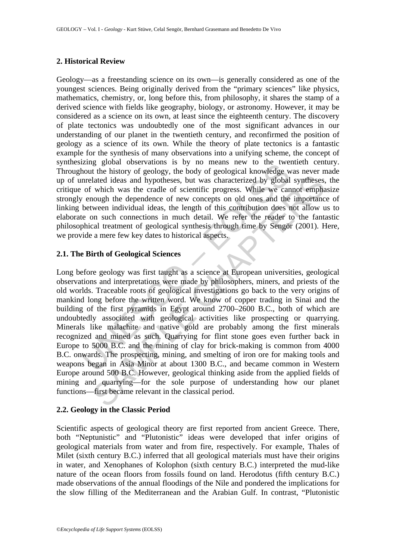#### **2. Historical Review**

Geology—as a freestanding science on its own—is generally considered as one of the youngest sciences. Being originally derived from the "primary sciences" like physics, mathematics, chemistry, or, long before this, from philosophy, it shares the stamp of a derived science with fields like geography, biology, or astronomy. However, it may be considered as a science on its own, at least since the eighteenth century. The discovery of plate tectonics was undoubtedly one of the most significant advances in our understanding of our planet in the twentieth century, and reconfirmed the position of geology as a science of its own. While the theory of plate tectonics is a fantastic example for the synthesis of many observations into a unifying scheme, the concept of synthesizing global observations is by no means new to the twentieth century. Throughout the history of geology, the body of geological knowledge was never made up of unrelated ideas and hypotheses, but was characterized by global syntheses, the critique of which was the cradle of scientific progress. While we cannot emphasize strongly enough the dependence of new concepts on old ones and the importance of linking between individual ideas, the length of this contribution does not allow us to elaborate on such connections in much detail. We refer the reader to the fantastic philosophical treatment of geological synthesis through time by Sengör (2001). Here, we provide a mere few key dates to historical aspects.

#### **2.1. The Birth of Geological Sciences**

Example groot of the white the minds in the whold the history of geology, the body of geological knowledge warelated ideas and hypotheses, but was characterized by global of which was the cradle of scientific progress. Whi lated ideas and hypotheses, but was characterized by global syntheses,<br>which was the cradle of scientific progress. While we cannot empha<br>nough the dependence of new concepts on old ones and the importance<br>ween individual Long before geology was first taught as a science at European universities, geological observations and interpretations were made by philosophers, miners, and priests of the old worlds. Traceable roots of geological investigations go back to the very origins of mankind long before the written word. We know of copper trading in Sinai and the building of the first pyramids in Egypt around 2700–2600 B.C., both of which are undoubtedly associated with geological activities like prospecting or quarrying. Minerals like malachite and native gold are probably among the first minerals recognized and mined as such. Quarrying for flint stone goes even further back in Europe to 5000 B.C. and the mining of clay for brick-making is common from 4000 B.C. onwards. The prospecting, mining, and smelting of iron ore for making tools and weapons began in Asia Minor at about 1300 B.C., and became common in Western Europe around 500 B.C. However, geological thinking aside from the applied fields of mining and quarrying—for the sole purpose of understanding how our planet functions—first became relevant in the classical period.

#### **2.2. Geology in the Classic Period**

Scientific aspects of geological theory are first reported from ancient Greece. There, both "Neptunistic" and "Plutonistic" ideas were developed that infer origins of geological materials from water and from fire, respectively. For example, Thales of Milet (sixth century B.C.) inferred that all geological materials must have their origins in water, and Xenophanes of Kolophon (sixth century B.C.) interpreted the mud-like nature of the ocean floors from fossils found on land. Herodotus (fifth century B.C.) made observations of the annual floodings of the Nile and pondered the implications for the slow filling of the Mediterranean and the Arabian Gulf. In contrast, "Plutonistic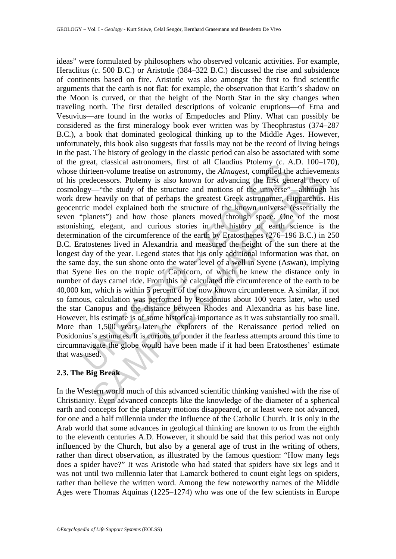gireal, classical assuminies, in st of an Calaulais Ficher, classical assume the interem-volume treatise on astronomy, the *Almagest*, compiled the predecessors. Ptolemy is also known for advancing the first geregy—"the st is decreased in the principle of the study of the study of the study of the structure and motions of the invierse"—although heavily on that of perhaps the greatest Greek atstronomer, Hipparchus. Theoretical model explained ideas" were formulated by philosophers who observed volcanic activities. For example, Heraclitus (*c*. 500 B.C.) or Aristotle (384–322 B.C.) discussed the rise and subsidence of continents based on fire. Aristotle was also amongst the first to find scientific arguments that the earth is not flat: for example, the observation that Earth's shadow on the Moon is curved, or that the height of the North Star in the sky changes when traveling north. The first detailed descriptions of volcanic eruptions—of Etna and Vesuvius—are found in the works of Empedocles and Pliny. What can possibly be considered as the first mineralogy book ever written was by Theophrastus (374–287 B.C.), a book that dominated geological thinking up to the Middle Ages. However, unfortunately, this book also suggests that fossils may not be the record of living beings in the past. The history of geology in the classic period can also be associated with some of the great, classical astronomers, first of all Claudius Ptolemy (*c*. A.D. 100–170), whose thirteen-volume treatise on astronomy, the *Almagest*, compiled the achievements of his predecessors. Ptolemy is also known for advancing the first general theory of cosmology—"the study of the structure and motions of the universe"—although his work drew heavily on that of perhaps the greatest Greek astronomer, Hipparchus. His geocentric model explained both the structure of the known universe (essentially the seven "planets") and how those planets moved through space. One of the most astonishing, elegant, and curious stories in the history of earth science is the determination of the circumference of the earth by Eratosthenes (276–196 B.C.) in 250 B.C. Eratostenes lived in Alexandria and measured the height of the sun there at the longest day of the year. Legend states that his only additional information was that, on the same day, the sun shone onto the water level of a well in Syene (Aswan), implying that Syene lies on the tropic of Capricorn, of which he knew the distance only in number of days camel ride. From this he calculated the circumference of the earth to be 40,000 km, which is within 5 percent of the now known circumference. A similar, if not so famous, calculation was performed by Posidonius about 100 years later, who used the star Canopus and the distance between Rhodes and Alexandria as his base line. However, his estimate is of some historical importance as it was substantially too small. More than 1,500 years later the explorers of the Renaissance period relied on Posidonius's estimates. It is curious to ponder if the fearless attempts around this time to circumnavigate the globe would have been made if it had been Eratosthenes' estimate that was used.

## **2.3. The Big Break**

In the Western world much of this advanced scientific thinking vanished with the rise of Christianity. Even advanced concepts like the knowledge of the diameter of a spherical earth and concepts for the planetary motions disappeared, or at least were not advanced, for one and a half millennia under the influence of the Catholic Church. It is only in the Arab world that some advances in geological thinking are known to us from the eighth to the eleventh centuries A.D. However, it should be said that this period was not only influenced by the Church, but also by a general age of trust in the writing of others, rather than direct observation, as illustrated by the famous question: "How many legs does a spider have?" It was Aristotle who had stated that spiders have six legs and it was not until two millennia later that Lamarck bothered to count eight legs on spiders, rather than believe the written word. Among the few noteworthy names of the Middle Ages were Thomas Aquinas (1225–1274) who was one of the few scientists in Europe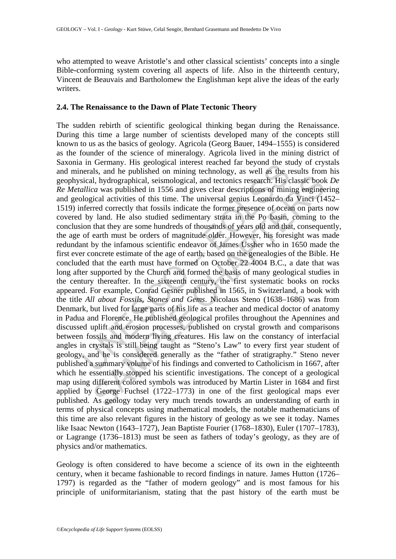who attempted to weave Aristotle's and other classical scientists' concepts into a single Bible-conforming system covering all aspects of life. Also in the thirteenth century, Vincent de Beauvais and Bartholomew the Englishman kept alive the ideas of the early writers.

#### **2.4. The Renaissance to the Dawn of Plate Tectonic Theory**

In Germany. This geological interest reached an depoted in the sensince states and hepoted interests and hepoted in 1556 and tectonics research. His callica was published in 1556 and gives clear descriptions of mini-<br>logic Less of this time. The unitary counterparts of mining well all the set all the set as the set as exercise in the set as published in 1556 and gives clear descriptions of mining enginees are avers published in 1556 and give The sudden rebirth of scientific geological thinking began during the Renaissance. During this time a large number of scientists developed many of the concepts still known to us as the basics of geology. Agricola (Georg Bauer, 1494–1555) is considered as the founder of the science of mineralogy. Agricola lived in the mining district of Saxonia in Germany. His geological interest reached far beyond the study of crystals and minerals, and he published on mining technology, as well as the results from his geophysical, hydrographical, seismological, and tectonics research. His classic book *De Re Metallica* was published in 1556 and gives clear descriptions of mining engineering and geological activities of this time. The universal genius Leonardo da Vinci (1452– 1519) inferred correctly that fossils indicate the former presence of ocean on parts now covered by land. He also studied sedimentary strata in the Po basin, coming to the conclusion that they are some hundreds of thousands of years old and that, consequently, the age of earth must be orders of magnitude older. However, his foresight was made redundant by the infamous scientific endeavor of James Ussher who in 1650 made the first ever concrete estimate of the age of earth, based on the genealogies of the Bible. He concluded that the earth must have formed on October 22 4004 B.C., a date that was long after supported by the Church and formed the basis of many geological studies in the century thereafter. In the sixteenth century, the first systematic books on rocks appeared. For example, Conrad Gesner published in 1565, in Switzerland, a book with the title *All about Fossils, Stones and Gems*. Nicolaus Steno (1638–1686) was from Denmark, but lived for large parts of his life as a teacher and medical doctor of anatomy in Padua and Florence. He published geological profiles throughout the Apennines and discussed uplift and erosion processes, published on crystal growth and comparisons between fossils and modern living creatures. His law on the constancy of interfacial angles in crystals is still being taught as "Steno's Law" to every first year student of geology, and he is considered generally as the "father of stratigraphy." Steno never published a summary volume of his findings and converted to Catholicism in 1667, after which he essentially stopped his scientific investigations. The concept of a geological map using different colored symbols was introduced by Martin Lister in 1684 and first applied by George Fuchsel (1722–1773) in one of the first geological maps ever published. As geology today very much trends towards an understanding of earth in terms of physical concepts using mathematical models, the notable mathematicians of this time are also relevant figures in the history of geology as we see it today. Names like Isaac Newton (1643–1727), Jean Baptiste Fourier (1768–1830), Euler (1707–1783), or Lagrange (1736–1813) must be seen as fathers of today's geology, as they are of physics and/or mathematics.

Geology is often considered to have become a science of its own in the eighteenth century, when it became fashionable to record findings in nature. James Hutton (1726– 1797) is regarded as the "father of modern geology" and is most famous for his principle of uniformitarianism, stating that the past history of the earth must be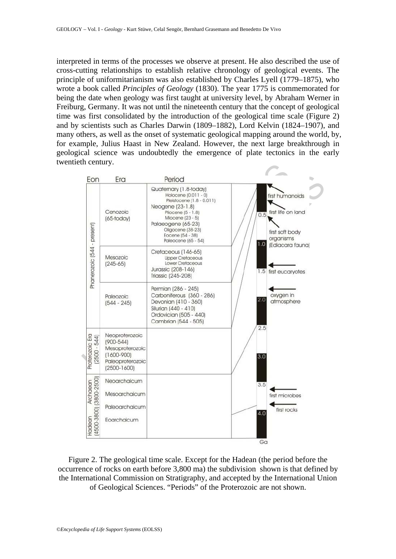interpreted in terms of the processes we observe at present. He also described the use of cross-cutting relationships to establish relative chronology of geological events. The principle of uniformitarianism was also established by Charles Lyell (1779–1875), who wrote a book called *Principles of Geology* (1830). The year 1775 is commemorated for being the date when geology was first taught at university level, by Abraham Werner in Freiburg, Germany. It was not until the nineteenth century that the concept of geological time was first consolidated by the introduction of the geological time scale (Figure 2) and by scientists such as Charles Darwin (1809–1882), Lord Kelvin (1824–1907), and many others, as well as the onset of systematic geological mapping around the world, by, for example, Julius Haast in New Zealand. However, the next large breakthrough in geological science was undoubtedly the emergence of plate tectonics in the early twentieth century.



Figure 2. The geological time scale. Except for the Hadean (the period before the occurrence of rocks on earth before 3,800 ma) the subdivision shown is that defined by the International Commission on Stratigraphy, and accepted by the International Union of Geological Sciences. "Periods" of the Proterozoic are not shown.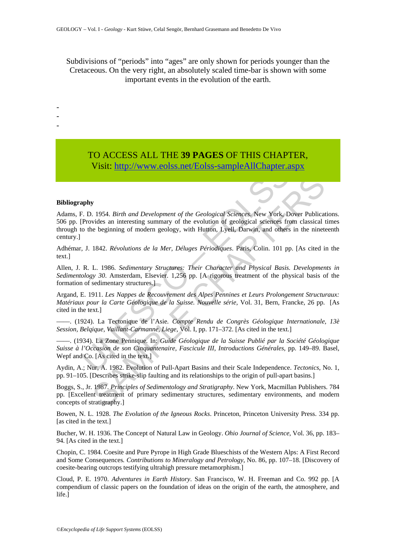Subdivisions of "periods" into "ages" are only shown for periods younger than the Cretaceous. On the very right, an absolutely scaled time-bar is shown with some important events in the evolution of the earth.

## TO ACCESS ALL THE **39 PAGES** OF THIS CHAPTER, Visit: http://www.eolss.net/Eolss-sampleAllChapter.aspx

#### **Bibliography**

- - -

Visit: http://www.eolss.net/Eolss-sampleAllChapter.a<br>
apply<br>
2. D. 1954. *Birth and Development of the Geological [S](https://www.eolss.net/ebooklib/sc_cart.aspx?File=E6-15)ciences*, New York, D.<br>
Provides an interesting summary of the evolution of geological sciences free<br>
0 the **y**<br>
1954. *Birth and Development of the Geological Sciences*. New York, Dover Publicativides an interesting summary of the evolution of geological sciences from classical te beginning of modern geology, with Hutton, Lyel Adams, F. D. 1954. *Birth and Development of the Geological Sciences*. New York, Dover Publications. 506 pp. [Provides an interesting summary of the evolution of geological sciences from classical times through to the beginning of modern geology, with Hutton, Lyell, Darwin, and others in the nineteenth century.]

Adhémar, J. 1842. *Révolutions de la Mer, Déluges Périodiques*. Paris, Colin. 101 pp. [As cited in the text.]

Allen, J. R. L. 1986. *Sedimentary Structures: Their Character and Physical Basis. Developments in Sedimentology 30*. Amsterdam, Elsevier. 1,256 pp. [A rigorous treatment of the physical basis of the formation of sedimentary structures.]

Argand, E. 1911. *Les Nappes de Recouvrement des Alpes Pennines et Leurs Prolongement Structuraux: Matériaux pour la Carte Géologique de la Suisse. Nouvelle série,* Vol. 31, Bern, Francke, 26 pp. [As cited in the text.]

––––. (1924). La Tectonique de l'Asie*. Compte Rendu de Congrès Géologique Internationale, 13è Session, Belqique, Vaillant-Carmanne, Liege*, Vol. I, pp. 171–372. [As cited in the text.]

––––. (1934). La Zone Pennique. In: *Guide Géologique de la Suisse Publié par la Société Géologique Suisse à l'Occasion de son Cinquantenaire, Fascicule III, Introductions Générales*, pp. 149–89. Basel, Wepf and Co. [As cited in the text.]

Aydin, A.; Nur, A. 1982. Evolution of Pull-Apart Basins and their Scale Independence. *Tectonics*, No. 1, pp. 91–105. [Describes strike-slip faulting and its relationships to the origin of pull-apart basins.]

Boggs, S., Jr. 1987. *Principles of Sedimentology and Stratigraphy*. New York, Macmillan Publishers. 784 pp. [Excellent treatment of primary sedimentary structures, sedimentary environments, and modern concepts of stratigraphy.]

Bowen, N. L. 1928. *The Evolution of the Igneous Rocks*. Princeton, Princeton University Press. 334 pp. [as cited in the text.]

Bucher, W. H. 1936. The Concept of Natural Law in Geology. *Ohio Journal of Science*, Vol. 36, pp. 183– 94. [As cited in the text.]

Chopin, C. 1984. Coesite and Pure Pyrope in High Grade Blueschists of the Western Alps: A First Record and Some Consequences*. Contributions to Mineralogy and Petrology*, No. 86, pp. 107–18. [Discovery of coesite-bearing outcrops testifying ultrahigh pressure metamorphism.]

Cloud, P. E. 1970. *Adventures in Earth History*. San Francisco, W. H. Freeman and Co. 992 pp. [A compendium of classic papers on the foundation of ideas on the origin of the earth, the atmosphere, and life.]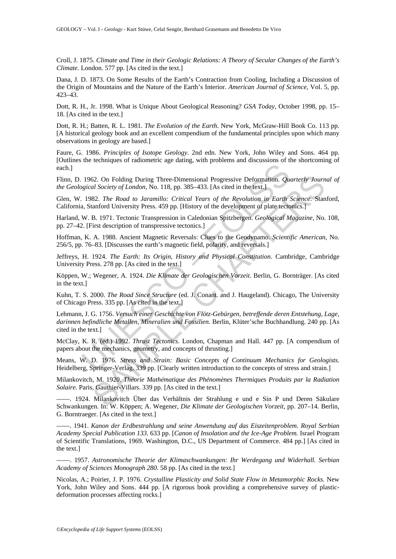Croll, J. 1875. *Climate and Time in their Geologic Relations: A Theory of Secular Changes of the Earth's Climate.* London. 577 pp. [As cited in the text.]

Dana, J. D. 1873. On Some Results of the Earth's Contraction from Cooling, Including a Discussion of the Origin of Mountains and the Nature of the Earth's Interior. *American Journal of Science*, Vol. 5, pp. 423–43.

Dott, R. H., Jr. 1998. What is Unique About Geological Reasoning? *GSA Today*, October 1998, pp. 15– 18. [As cited in the text.]

Dott, R. H.; Batten, R. L. 1981. *The Evolution of the Earth*. New York, McGraw-Hill Book Co. 113 pp. [A historical geology book and an excellent compendium of the fundamental principles upon which many observations in geology are based.]

Faure, G. 1986. *Principles of Isotope Geology.* 2nd edn. New York, John Wiley and Sons. 464 pp. [Outlines the techniques of radiometric age dating, with problems and discussions of the shortcoming of each.]

Flinn, D. 1962. On Folding During Three-Dimensional Progressive Deformation. *Quarterly Journal of the Geological Society of London*, No. 118, pp. 385–433. [As cited in the text.]

Glen, W. 1982. *The Road to Jaramillo: Critical Years of the Revolution in Earth Science*. Stanford, California, Stanford University Press. 459 pp. [History of the development of plate tectonics.]

Harland, W. B. 1971. Tectonic Transpression in Caledonian Spitzbergen. *Geological Magazine*, No. 108, pp. 27–42. [First description of transpressive tectonics.]

Hoffman, K. A. 1988. Ancient Magnetic Reversals: Clues to the Geodynamo. *Scientific American*, No. 256/5, pp. 76–83. [Discusses the earth's magnetic field, polarity, and reversals.]

Jeffreys, H. 1924. *The Earth: Its Origin, History and Physical Constitution*. Cambridge, Cambridge University Press. 278 pp. [As cited in the text.]

Köppen, W.; Wegener, A. 1924. *Die Klimate der Geologischen Vorzeit*. Berlin, G. Bornträger. [As cited in the text.]

Kuhn, T. S. 2000. *The Road Since Structure* (ed. J. Conant. and J. Haugeland). Chicago, The University of Chicago Press. 335 pp. [As cited in the text.]

1962. On Folding During Three-Dimensional Progressive Deformation. *Quagical Society of London*, No. 118, pp. 385–433. [As cited in the text.]<br>
1982. *The Road to Jaramillo: Critical Years of the Revolution in Earth 4*, St 52. On Folding During Three-Dimensional Progressive Deformation. *Quarterly Journ*<br>
Scriety of London, No. 118, pp. 385–433. [As cited in the text.]<br>
82. The Road to Jaramillo: Critical Years of the Revolution in Earth Sc Lehmann, J. G. 1756. *Versuch einer Geschichte von Flötz-Gebürgen, betreffende deren Entstehung, Lage, darinnen befindliche Metallen, Mineralien und Fossilien.* Berlin, Klüter'sche Buchhandlung. 240 pp. [As cited in the text.]

McClay, K. R. (ed.) 1992. *Thrust Tectonics*. London, Chapman and Hall. 447 pp. [A compendium of papers about the mechanics, geometry, and concepts of thrusting.]

Means, W. D. 1976. *Stress and Strain: Basic Concepts of Continuum Mechanics for Geologists.* Heidelberg, Springer-Verlag. 339 pp. [Clearly written introduction to the concepts of stress and strain.]

Milankovitch, M. 1920. *Théorie Mathématique des Phénomènes Thermiques Produits par la Radiation Solaire.* Paris, Gauthier-Villars. 339 pp. [As cited in the text.]

––––. 1924. Milankovitch Über das Verhältnis der Strahlung e und e Sin P und Deren Säkulare Schwankungen. In: W. Köppen; A. Wegener, *Die Klimate der Geologischen Vorzeit*, pp. 207–14. Berlin, G. Borntraeger. [As cited in the text.]

––––. 1941. *Kanon der Erdbestrahlung und seine Anwendung auf das Eiszeitenproblem*. *Royal Serbian Academy Special Publication 133.* 633 pp. [*Canon of Insolation and the Ice-Age Problem.* Israel Program of Scientific Translations, 1969. Washington, D.C., US Department of Commerce. 484 pp.] [As cited in the text.]

––––. 1957. *Astronomische Theorie der Klimaschwankungen: Ihr Werdegang und Widerhall. Serbian Academy of Sciences Monograph 280.* 58 pp. [As cited in the text.]

Nicolas, A.; Poirier, J. P. 1976. *Crystalline Plasticity and Solid State Flow in Metamorphic Rocks.* New York, John Wiley and Sons. 444 pp. [A rigorous book providing a comprehensive survey of plasticdeformation processes affecting rocks.]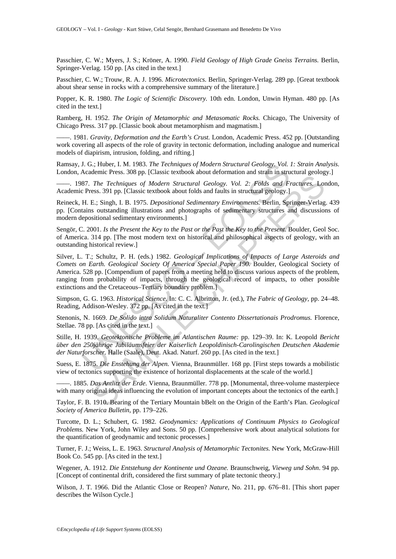Passchier, C. W.; Myers, J. S.; Kröner, A. 1990. *Field Geology of High Grade Gneiss Terrains.* Berlin, Springer-Verlag. 150 pp. [As cited in the text.]

Passchier, C. W.; Trouw, R. A. J. 1996. *Microtectonics.* Berlin, Springer-Verlag. 289 pp. [Great textbook about shear sense in rocks with a comprehensive summary of the literature.]

Popper, K. R. 1980. *The Logic of Scientific Discovery.* 10th edn. London, Unwin Hyman. 480 pp. [As cited in the text.]

Ramberg, H. 1952. *The Origin of Metamorphic and Metasomatic Rocks.* Chicago, The University of Chicago Press. 317 pp. [Classic book about metamorphism and magmatism.]

––––. 1981. *Gravity, Deformation and the Earth's Crust.* London, Academic Press. 452 pp. [Outstanding work covering all aspects of the role of gravity in tectonic deformation, including analogue and numerical models of diapirism, intrusion, folding, and rifting.]

Ramsay, J. G.; Huber, I. M. 1983. *The Techniques of Modern Structural Geology. Vol. 1: Strain Analysis*. London, Academic Press. 308 pp. [Classic textbook about deformation and strain in structural geology.]

––––. 1987. *The Techniques of Modern Structural Geology. Vol. 2: Folds and Fractures.* London, Academic Press. 391 pp. [Classic textbook about folds and faults in structural geology.]

Reineck, H. E.; Singh, I. B. 1975. *Depositional Sedimentary Environments.* Berlin, Springer-Verlag. 439 pp. [Contains outstanding illustrations and photographs of sedimentary structures and discussions of modern depositional sedimentary environments.]

Sengör, C. 2001. *Is the Present the Key to the Past or the Past the Key to the Present*. Boulder, Geol Soc. of America. 314 pp. [The most modern text on historical and philosophical aspects of geology, with an outstanding historical review.]

J. G.; Huber, I. M. 1983. The Techniques of Modern Structural Geology. Vol. Academic Press. 308 pp. [Classic textbook about deformation and strain in structural Feology. Vol. 2: Folds and F. The Techniques of Modern Struct The Techniques of Modern Structural Geology. Vol. 2: Folds and Fractures or The Techniques of Modern Structural Geology. Vol. 2: Folds and Fractures. Lot<br>
E.; Singh, I. B. 1975. Depositional Sedimentary Environments. Berl Silver, L. T.; Schultz, P. H. (eds.) 1982. *Geological Implications of Impacts of Large Asteroids and Comets on Earth. Geological Society Of America Special Paper 190.* Boulder, Geological Society of America. 528 pp. [Compendium of papers from a meeting held to discuss various aspects of the problem, ranging from probability of impacts, through the geological record of impacts, to other possible extinctions and the Cretaceous–Tertiary boundary problem.]

Simpson, G. G. 1963. *Historical Science*. In: C. C. Albritton, Jr. (ed.), *The Fabric of Geology,* pp. 24–48. Reading, Addison-Wesley. 372 pp. [As cited in the text.]

Stenonis, N. 1669. *De Solido intra Solidum Naturaliter Contento Dissertationais Prodromus.* Florence, Stellae. 78 pp. [As cited in the text.]

Stille, H. 1939. *Geotektonische Probleme im Atlantischen Raume:* pp. 129–39. In: K. Leopold *Bericht über den 250jährige Jubiläumsfeier der Kaiserlich Leopoldinisch-Carolingischen Deutschen Akademie der Naturforscher.* Halle (Saale), Deut. Akad. Naturf. 260 pp. [As cited in the text.]

Suess, E. 1875. *Die Enstehung der Alpen.* Vienna, Braunmüller. 168 pp. [First steps towards a mobilistic view of tectonics supporting the existence of horizontal displacements at the scale of the world.]

––––. 1885. *Das Antlitz der Erde.* Vienna, Braunmüller. 778 pp. [Monumental, three-volume masterpiece with many original ideas influencing the evolution of important concepts about the tectonics of the earth.]

Taylor, F. B. 1910. Bearing of the Tertiary Mountain bBelt on the Origin of the Earth's Plan. *Geological Society of America Bulletin*, pp. 179–226.

Turcotte, D. L.; Schubert, G. 1982*. Geodynamics: Applications of Continuum Physics to Geological Problems.* New York, John Wiley and Sons. 50 pp. [Comprehensive work about analytical solutions for the quantification of geodynamic and tectonic processes.]

Turner, F. J.; Weiss, L. E. 1963. *Structural Analysis of Metamorphic Tectonites.* New York, McGraw-Hill Book Co. 545 pp. [As cited in the text.]

Wegener, A. 1912. *Die Entstehung der Kontinente und Ozeane.* Braunschweig, *Vieweg und Sohn*. 94 pp. [Concept of continental drift, considered the first summary of plate tectonic theory.]

Wilson, J. T. 1966. Did the Atlantic Close or Reopen? *Nature*, No. 211, pp. 676–81. [This short paper describes the Wilson Cycle.]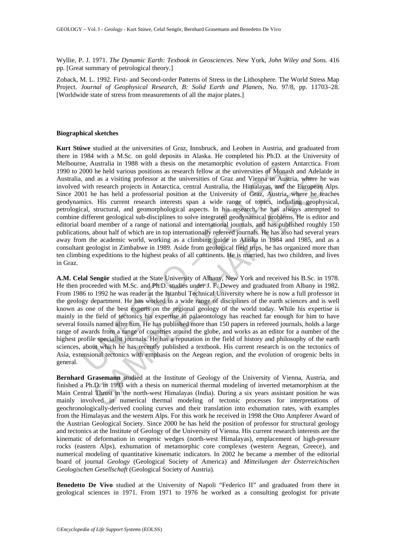Wyllie, P. J. 1971. *The Dynamic Earth: Texbook in Geosciences.* New York, *John Wiley and Sons.* 416 pp. [Great summary of petrological theory.]

Zoback, M. L. 1992. First- and Second-order Patterns of Stress in the Lithosphere. The World Stress Map Project. *Journal of Geophysical Research, B: Solid Earth and Planets,* No. 97/8, pp. 11703–28. [Worldwide state of stress from measurements of all the major plates.]

#### **Biographical sketches**

e, Australia in 1988 with a thesis on the metamorphic evolution of eastern<br>(e.000 he held various positions as research fellow at the universities of Monas, and as a visiting professor at the universities of Graz and Vienn d as a visiting professor at the universities of Graz and Vienna in Austria, where he research projects in Antarctica, central Austrial, the Himalayas, and the European heres he has held a professorial position at the Univ **Kurt Stüwe** studied at the universities of Graz, Innsbruck, and Leoben in Austria, and graduated from there in 1984 with a M.Sc. on gold deposits in Alaska. He completed his Ph.D. at the University of Melbourne, Australia in 1988 with a thesis on the metamorphic evolution of eastern Antarctica. From 1990 to 2000 he held various positions as research fellow at the universities of Monash and Adelaide in Australia, and as a visiting professor at the universities of Graz and Vienna in Austria, where he was involved with research projects in Antarctica, central Australia, the Himalayas, and the European Alps. Since 2001 he has held a professorial position at the University of Graz, Austria, where he teaches geodynamics. His current research interests span a wide range of topics, including geophysical, petrological, structural, and geomorphological aspects. In his research, he has always attempted to combine different geological sub-disciplines to solve integrated geodynamical problems. He is editor and editorial board member of a range of national and international journals, and has published roughly 150 publications, about half of which are in top internationally refereed journals. He has also had several years away from the academic world, working as a climbing guide in Alaska in 1984 and 1985, and as a consultant geologist in Zimbabwe in 1989. Aside from geological field trips, he has organized more than ten climbing expeditions to the highest peaks of all continents. He is married, has two children, and lives in Graz.

**A.M. Celal Sengör** studied at the State University of Albany, New York and received his B.Sc. in 1978. He then proceeded with M.Sc. and Ph.D. studies under J. F. Dewey and graduated from Albany in 1982. From 1986 to 1992 he was reader at the Istanbul Technical University where he is now a full professor in the geology department. He has worked in a wide range of disciplines of the earth sciences and is well known as one of the best experts on the regional geology of the world today. While his expertise is mainly in the field of tectonics his expertise in palaeontology has reached far enough for him to have several fossils named after him. He has published more than 150 papers in refereed journals, holds a large range of awards from a range of countries around the globe, and works as an editor for a number of the highest profile specialist journals. He has a reputation in the field of history and philosophy of the earth sciences, about which he has recently published a textbook. His current research is on the tectonics of Asia, extensional tectonics with emphasis on the Aegean region, and the evolution of orogenic belts in general.

**Bernhard Grasemann** studied at the Institute of Geology of the University of Vienna, Austria, and finished a Ph.D. in 1993 with a thesis on numerical thermal modeling of inverted metamorphism at the Main Central Thrust in the north-west Himalayas (India). During a six years assistant position he was mainly involved in numerical thermal modeling of tectonic processes for interpretations of geochronologically-derived cooling curves and their translation into exhumation rates, with examples from the Himalayas and the western Alps. For this work he received in 1998 the Otto Ampferer Award of the Austrian Geological Society. Since 2000 he has held the position of professor for structural geology and tectonics at the Institute of Geology of the University of Vienna. His current research interests are the kinematic of deformation in orogenic wedges (north-west Himalayas), emplacement of high-pressure rocks (eastern Alps), exhumation of metamorphic core complexes (western Aegean, Greece), and numerical modeling of quantitative kinematic indicators. In 2002 he became a member of the editorial board of journal *Geology* (Geological Society of America) and *Mitteilungen der Österreichischen Geologischen Gesellschaft* (Geological Society of Austria).

**Benedetto De Vivo** studied at the University of Napoli "Federico II" and graduated from there in geological sciences in 1971. From 1971 to 1976 he worked as a consulting geologist for private